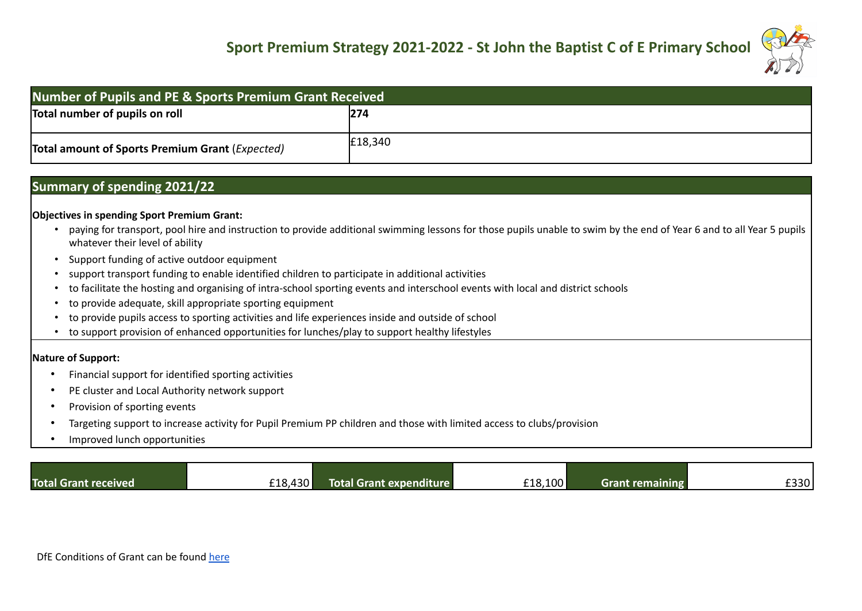

| <b>Number of Pupils and PE &amp; Sports Premium Grant Received</b> |         |  |
|--------------------------------------------------------------------|---------|--|
| Total number of pupils on roll                                     | 274     |  |
| <b>Total amount of Sports Premium Grant (Expected)</b>             | £18,340 |  |

## **Summary of spending 2021/22**

## **Objectives in spending Sport Premium Grant:**

- paying for transport, pool hire and instruction to provide additional swimming lessons for those pupils unable to swim by the end of Year 6 and to all Year 5 pupils whatever their level of ability
- Support funding of active outdoor equipment
- support transport funding to enable identified children to participate in additional activities
- to facilitate the hosting and organising of intra-school sporting events and interschool events with local and district schools
- to provide adequate, skill appropriate sporting equipment
- to provide pupils access to sporting activities and life experiences inside and outside of school
- to support provision of enhanced opportunities for lunches/play to support healthy lifestyles

## **Nature of Support:**

- Financial support for identified sporting activities
- PE cluster and Local Authority network support
- Provision of sporting events
- Targeting support to increase activity for Pupil Premium PP children and those with limited access to clubs/provision
- Improved lunch opportunities

| <b>Total Grant received</b> | £18,430 | Total Grant expenditure | £18,100 | Grant remaining | copo.<br>-3301 |
|-----------------------------|---------|-------------------------|---------|-----------------|----------------|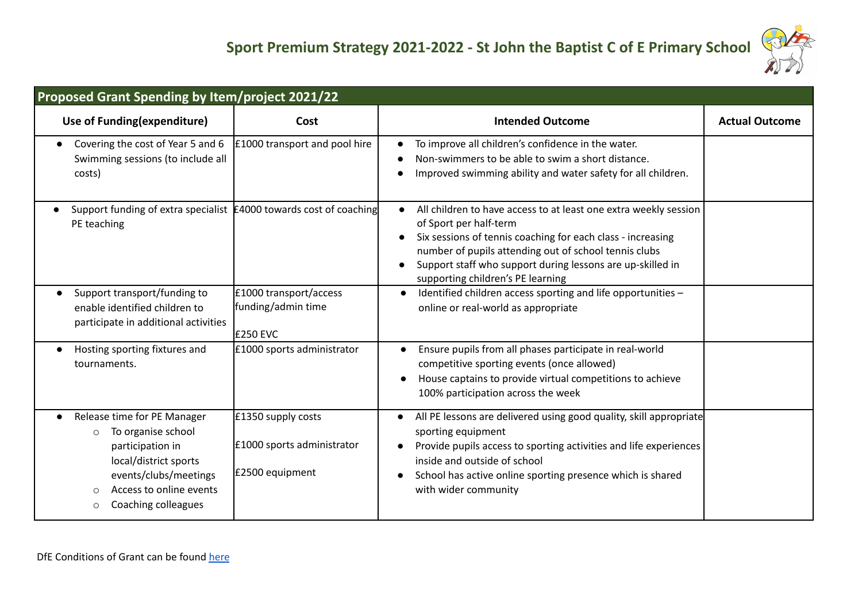

| Proposed Grant Spending by Item/project 2021/22                                                                                                                                                       |                                                                     |                                                                                                                                                                                                                                                                                                                       |                       |  |
|-------------------------------------------------------------------------------------------------------------------------------------------------------------------------------------------------------|---------------------------------------------------------------------|-----------------------------------------------------------------------------------------------------------------------------------------------------------------------------------------------------------------------------------------------------------------------------------------------------------------------|-----------------------|--|
| Use of Funding(expenditure)                                                                                                                                                                           | Cost                                                                | <b>Intended Outcome</b>                                                                                                                                                                                                                                                                                               | <b>Actual Outcome</b> |  |
| Covering the cost of Year 5 and 6<br>$\bullet$<br>Swimming sessions (to include all<br>costs)                                                                                                         | £1000 transport and pool hire                                       | To improve all children's confidence in the water.<br>Non-swimmers to be able to swim a short distance.<br>Improved swimming ability and water safety for all children.                                                                                                                                               |                       |  |
| Support funding of extra specialist £4000 towards cost of coaching<br>PE teaching                                                                                                                     |                                                                     | All children to have access to at least one extra weekly session<br>of Sport per half-term<br>Six sessions of tennis coaching for each class - increasing<br>number of pupils attending out of school tennis clubs<br>Support staff who support during lessons are up-skilled in<br>supporting children's PE learning |                       |  |
| Support transport/funding to<br>enable identified children to<br>participate in additional activities                                                                                                 | £1000 transport/access<br>funding/admin time<br><b>E250 EVC</b>     | Identified children access sporting and life opportunities -<br>online or real-world as appropriate                                                                                                                                                                                                                   |                       |  |
| Hosting sporting fixtures and<br>$\bullet$<br>tournaments.                                                                                                                                            | £1000 sports administrator                                          | Ensure pupils from all phases participate in real-world<br>$\bullet$<br>competitive sporting events (once allowed)<br>House captains to provide virtual competitions to achieve<br>100% participation across the week                                                                                                 |                       |  |
| Release time for PE Manager<br>To organise school<br>$\circ$<br>participation in<br>local/district sports<br>events/clubs/meetings<br>Access to online events<br>$\Omega$<br>Coaching colleagues<br>O | £1350 supply costs<br>£1000 sports administrator<br>£2500 equipment | All PE lessons are delivered using good quality, skill appropriate<br>sporting equipment<br>Provide pupils access to sporting activities and life experiences<br>inside and outside of school<br>School has active online sporting presence which is shared<br>with wider community                                   |                       |  |